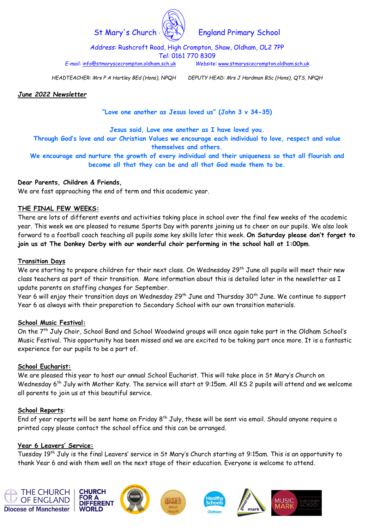

# St Mary's Church  $\mathbb{C}\setminus\mathbb{C}$  England Primary School

Address: Rushcroft Road, High Crompton, Shaw, Oldham, OL2 7PP Tel: 0161 770 8309

E-mail: info@stmaryscecrompton.oldham.sch.uk Website: www.stmaryscecrompton.oldham.sch.uk

HEADTEACHER: Mrs P A Hartley BEd (Hons), NPQH DEPUTY HEAD: Mrs J Hardman BSc (Hons), QTS, NPQH

## June 2022 Newsletter

"Love one another as Jesus loved us" (John 3 v 34-35)

Jesus said, Love one another as I have loved you.

Through God's love and our Christian Values we encourage each individual to love, respect and value themselves and others.

We encourage and nurture the growth of every individual and their uniqueness so that all flourish and become all that they can be and all that God made them to be.

## Dear Parents, Children & Friends,

We are fast approaching the end of term and this academic year.

## THE FINAL FEW WEEKS:

There are lots of different events and activities taking place in school over the final few weeks of the academic year. This week we are pleased to resume Sports Day with parents joining us to cheer on our pupils. We also look forward to a football coach teaching all pupils some key skills later this week. On Saturday please don't forget to join us at The Donkey Derby with our wonderful choir performing in the school hall at 1:00pm.

## Transition Days

We are starting to prepare children for their next class. On Wednesday 29<sup>th</sup> June all pupils will meet their new class teachers as part of their transition. More information about this is detailed later in the newsletter as I update parents on staffing changes for September.

Year 6 will enjoy their transition days on Wednesday 29<sup>th</sup> June and Thursday 30<sup>th</sup> June. We continue to support Year 6 as always with their preparation to Secondary School with our own transition materials.

## School Music Festival:

On the 7th July Choir, School Band and School Woodwind groups will once again take part in the Oldham School's Music Festival. This opportunity has been missed and we are excited to be taking part once more. It is a fantastic experience for our pupils to be a part of.

## School Eucharist:

We are pleased this year to host our annual School Eucharist. This will take place in St Mary's Church on Wednesday 6<sup>th</sup> July with Mother Katy. The service will start at 9:15am. All KS 2 pupils will attend and we welcome all parents to join us at this beautiful service.

## School Reports:

End of year reports will be sent home on Friday 8<sup>th</sup> July, these will be sent via email. Should anyone require a printed copy please contact the school office and this can be arranged.

## Year 6 Leavers' Service:

Tuesday 19th July is the final Leavers' service in St Mary's Church starting at 9:15am. This is an opportunity to thank Year 6 and wish them well on the next stage of their education. Everyone is welcome to attend.











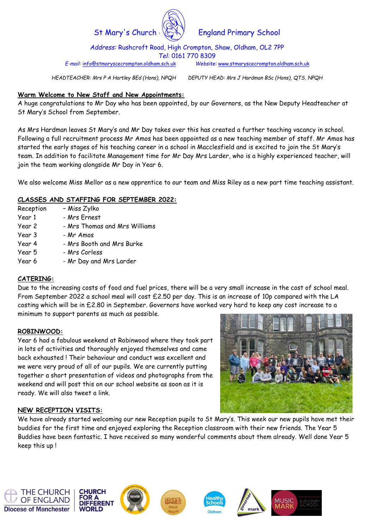

St Mary's Church  $\langle \xi \rangle$  England Primary School

Address: Rushcroft Road, High Crompton, Shaw, Oldham, OL2 7PP Tel: 0161 770 8309

E-mail: info@stmaryscecrompton.oldham.sch.uk Website: www.stmaryscecrompton.oldham.sch.uk

HEADTEACHER: Mrs P A Hartley BEd (Hons), NPQH DEPUTY HEAD: Mrs J Hardman BSc (Hons), QTS, NPQH

# Warm Welcome to New Staff and New Appointments:

A huge congratulations to Mr Day who has been appointed, by our Governors, as the New Deputy Headteacher at St Mary's School from September.

As Mrs Hardman leaves St Mary's and Mr Day takes over this has created a further teaching vacancy in school. Following a full recruitment process Mr Amos has been appointed as a new teaching member of staff. Mr Amos has started the early stages of his teaching career in a school in Macclesfield and is excited to join the St Mary's team. In addition to facilitate Management time for Mr Day Mrs Larder, who is a highly experienced teacher, will join the team working alongside Mr Day in Year 6.

We also welcome Miss Mellor as a new apprentice to our team and Miss Riley as a new part time teaching assistant.

# CLASSES AND STAFFING FOR SEPTEMBER 2022:

| Reception | - Miss Zylko                  |
|-----------|-------------------------------|
| Year 1    | - Mrs Ernest                  |
| Year 2    | - Mrs Thomas and Mrs Williams |
| Year 3    | - Mr Amos                     |
| Year 4    | - Mrs Booth and Mrs Burke     |
| Year 5    | - Mrs Corless                 |
| Year 6    | - Mr Day and Mrs Larder       |

# CATERING:

Due to the increasing costs of food and fuel prices, there will be a very small increase in the cost of school meal. From September 2022 a school meal will cost £2.50 per day. This is an increase of 10p compared with the LA costing which will be in £2.80 in September. Governors have worked very hard to keep any cost increase to a minimum to support parents as much as possible.

## ROBINWOOD:

Year 6 had a fabulous weekend at Robinwood where they took part in lots of activities and thoroughly enjoyed themselves and came back exhausted ! Their behaviour and conduct was excellent and we were very proud of all of our pupils. We are currently putting together a short presentation of videos and photographs from the weekend and will post this on our school website as soon as it is ready. We will also tweet a link.



# NEW RECEPTION VISITS:

We have already started welcoming our new Reception pupils to St Mary's. This week our new pupils have met their buddies for the first time and enjoyed exploring the Reception classroom with their new friends. The Year 5 Buddies have been fantastic. I have received so many wonderful comments about them already. Well done Year 5 keep this up !











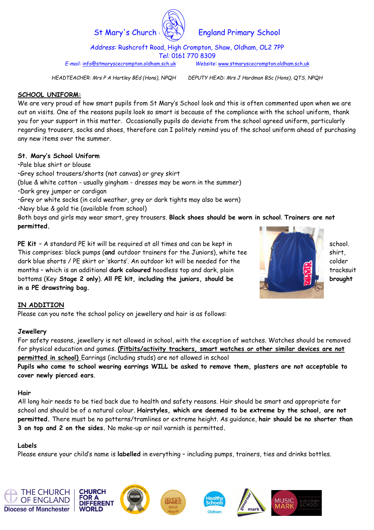

# St Mary's Church  $\langle \xi \rangle$  England Primary School

Address: Rushcroft Road, High Crompton, Shaw, Oldham, OL2 7PP Tel: 0161 770 8309

E-mail: info@stmaryscecrompton.oldham.sch.uk Website: www.stmaryscecrompton.oldham.sch.uk

HEADTEACHER: Mrs P A Hartley BEd (Hons), NPQH DEPUTY HEAD: Mrs J Hardman BSc (Hons), QTS, NPQH

# SCHOOL UNIFORM:

We are very proud of how smart pupils from St Mary's School look and this is often commented upon when we are out on visits. One of the reasons pupils look so smart is because of the compliance with the school uniform, thank you for your support in this matter. Occasionally pupils do deviate from the school agreed uniform, particularly regarding trousers, socks and shoes, therefore can I politely remind you of the school uniform ahead of purchasing any new items over the summer.

# St. Mary's School Uniform

•Pale blue shirt or blouse

•Grey school trousers/shorts (not canvas) or grey skirt

(blue & white cotton - usually gingham - dresses may be worn in the summer)

•Dark grey jumper or cardigan

•Grey or white socks (in cold weather, grey or dark tights may also be worn)

•Navy blue & gold tie (available from school)

Both boys and girls may wear smart, grey trousers. Black shoes should be worn in school. Trainers are not permitted.

PE Kit – A standard PE kit will be required at all times and can be kept in  $\blacksquare$  school. This comprises: black pumps (and outdoor trainers for the Juniors), white tee  $\blacksquare$  shirt, dark blue shorts / PE skirt or 'skorts'. An outdoor kit will be needed for the colder months - which is an additional **dark coloured** hoodless top and dark, plain the state of the state of tracksuit bottoms (Key Stage 2 only). All PE kit, including the juniors, should be brought in a PE drawstring bag.



# IN ADDITION

Please can you note the school policy on jewellery and hair is as follows:

# Jewellery

For safety reasons, jewellery is not allowed in school, with the exception of watches. Watches should be removed for physical education and games. (Fitbits/activity trackers, smart watches or other similar devices are not permitted in school) Earrings (including studs) are not allowed in school

Pupils who come to school wearing earrings WILL be asked to remove them, plasters are not acceptable to cover newly pierced ears.

## Hair

All long hair needs to be tied back due to health and safety reasons. Hair should be smart and appropriate for school and should be of a natural colour. Hairstyles, which are deemed to be extreme by the school, are not permitted. There must be no patterns/tramlines or extreme height. As guidance, hair should be no shorter than 3 on top and 2 on the sides. No make-up or nail varnish is permitted.

# Labels

Please ensure your child's name is labelled in everything - including pumps, trainers, ties and drinks bottles.